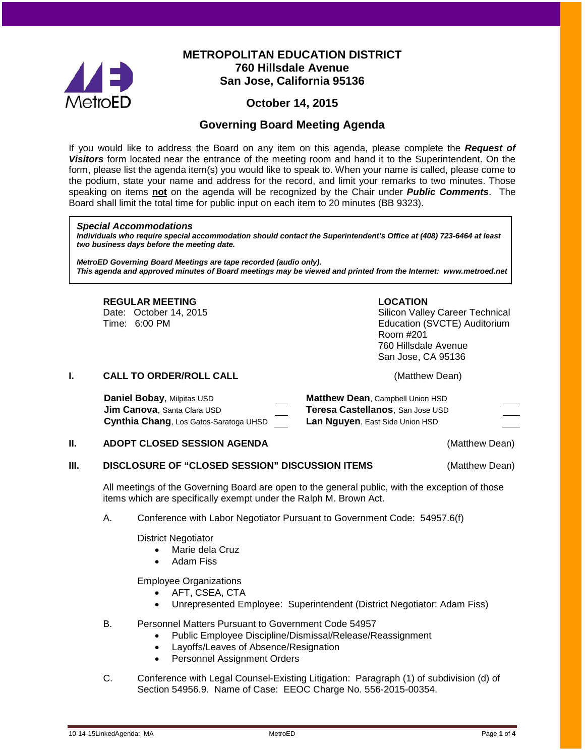

# **METROPOLITAN EDUCATION DISTRICT 760 Hillsdale Avenue San Jose, California 95136**

# **October 14, 2015**

# **Governing Board Meeting Agenda**

If you would like to address the Board on any item on this agenda, please complete the *Request of Visitors* form located near the entrance of the meeting room and hand it to the Superintendent. On the form, please list the agenda item(s) you would like to speak to. When your name is called, please come to the podium, state your name and address for the record, and limit your remarks to two minutes. Those speaking on items **not** on the agenda will be recognized by the Chair under *Public Comments*. The Board shall limit the total time for public input on each item to 20 minutes (BB 9323).

#### *Special Accommodations*

*Individuals who require special accommodation should contact the Superintendent's Office at (408) 723-6464 at least two business days before the meeting date.*

*MetroED Governing Board Meetings are tape recorded (audio only). This agenda and approved minutes of Board meetings may be viewed and printed from the Internet: www.metroed.net*

## **REGULAR MEETING LOCATION**

Date: October 14, 2015 **Silicon Valley Career Technical** Time: 6:00 PM Education (SVCTE) Auditorium Room #201 760 Hillsdale Avenue San Jose, CA 95136

#### **I. CALL TO ORDER/ROLL CALL CALL CALL CALL CALL CALL CALL CALL CALL**

| Daniel Bobay, Milpitas USD             | <b>Matthew Dean, Campbell Union HSD</b> |
|----------------------------------------|-----------------------------------------|
| <b>Jim Canova, Santa Clara USD</b>     | Teresa Castellanos, San Jose USD        |
| Cynthia Chang, Los Gatos-Saratoga UHSD | <b>Lan Nguyen, East Side Union HSD</b>  |

#### **II. ADOPT CLOSED SESSION AGENDA CONSTRUCTER (Matthew Dean)**

#### **III. DISCLOSURE OF "CLOSED SESSION" DISCUSSION ITEMS** (Matthew Dean)

All meetings of the Governing Board are open to the general public, with the exception of those items which are specifically exempt under the Ralph M. Brown Act.

#### A. Conference with Labor Negotiator Pursuant to Government Code: 54957.6(f)

District Negotiator

- Marie dela Cruz
- Adam Fiss

Employee Organizations

- AFT, CSEA, CTA
- Unrepresented Employee: Superintendent (District Negotiator: Adam Fiss)
- B. Personnel Matters Pursuant to Government Code 54957
	- Public Employee Discipline/Dismissal/Release/Reassignment
	- Layoffs/Leaves of Absence/Resignation
	- Personnel Assignment Orders
- C. Conference with Legal Counsel-Existing Litigation: Paragraph (1) of subdivision (d) of Section 54956.9. Name of Case: EEOC Charge No. 556-2015-00354.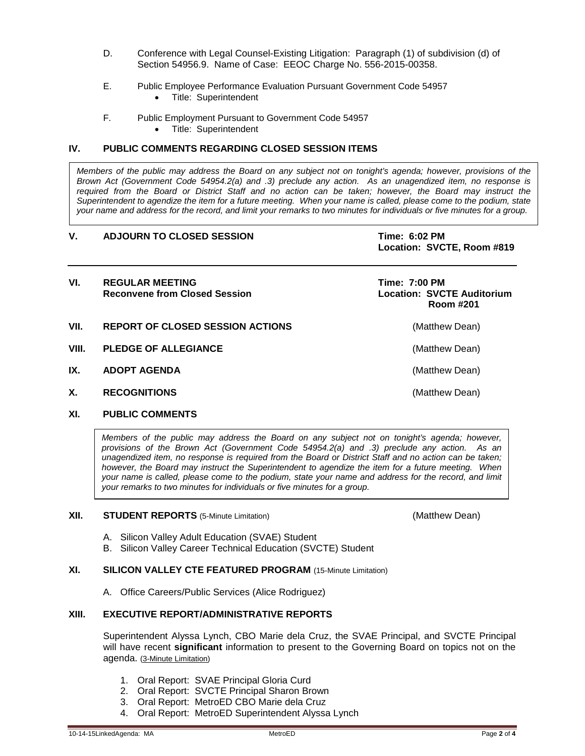- D. Conference with Legal Counsel-Existing Litigation: Paragraph (1) of subdivision (d) of Section 54956.9. Name of Case: EEOC Charge No. 556-2015-00358.
- E. Public Employee Performance Evaluation Pursuant Government Code 54957
	- Title: Superintendent
- F. Public Employment Pursuant to Government Code 54957
	- Title: Superintendent

#### **IV. PUBLIC COMMENTS REGARDING CLOSED SESSION ITEMS**

*Members of the public may address the Board on any subject not on tonight's agenda; however, provisions of the Brown Act (Government Code 54954.2(a) and .3) preclude any action. As an unagendized item, no response is required from the Board or District Staff and no action can be taken; however, the Board may instruct the Superintendent to agendize the item for a future meeting. When your name is called, please come to the podium, state your name and address for the record, and limit your remarks to two minutes for individuals or five minutes for a group.*

#### **V. ADJOURN TO CLOSED SESSION Time: 6:02 PM**

**Location: SVCTE, Room #819**

| VI.   | <b>REGULAR MEETING</b><br><b>Reconvene from Closed Session</b> | Time: 7:00 PM<br><b>Location: SVCTE Auditorium</b><br>Room #201 |
|-------|----------------------------------------------------------------|-----------------------------------------------------------------|
| VII.  | <b>REPORT OF CLOSED SESSION ACTIONS</b>                        | (Matthew Dean)                                                  |
| VIII. | <b>PLEDGE OF ALLEGIANCE</b>                                    | (Matthew Dean)                                                  |
| IX.   | <b>ADOPT AGENDA</b>                                            | (Matthew Dean)                                                  |
| Χ.    | <b>RECOGNITIONS</b>                                            | (Matthew Dean)                                                  |

### **XI. PUBLIC COMMENTS**

*Members of the public may address the Board on any subject not on tonight's agenda; however, provisions of the Brown Act (Government Code 54954.2(a) and .3) preclude any action. As an unagendized item, no response is required from the Board or District Staff and no action can be taken; however, the Board may instruct the Superintendent to agendize the item for a future meeting. When your name is called, please come to the podium, state your name and address for the record, and limit your remarks to two minutes for individuals or five minutes for a group.*

#### **XII. STUDENT REPORTS** (5-Minute Limitation) **1992 12: 12: 13: 13: 13: (Matthew Dean)**

- A. Silicon Valley Adult Education (SVAE) Student
- B. Silicon Valley Career Technical Education (SVCTE) Student

#### **XI. SILICON VALLEY CTE FEATURED PROGRAM** (15-Minute Limitation)

A. Office Careers/Public Services (Alice Rodriguez)

### **XIII. EXECUTIVE REPORT/ADMINISTRATIVE REPORTS**

Superintendent Alyssa Lynch, CBO Marie dela Cruz, the SVAE Principal, and SVCTE Principal will have recent **significant** information to present to the Governing Board on topics not on the agenda. (3-Minute Limitation)

- 1. Oral Report: SVAE Principal Gloria Curd
- 2. Oral Report: SVCTE Principal Sharon Brown
- 3. Oral Report: MetroED CBO Marie dela Cruz
- 4. Oral Report: MetroED Superintendent Alyssa Lynch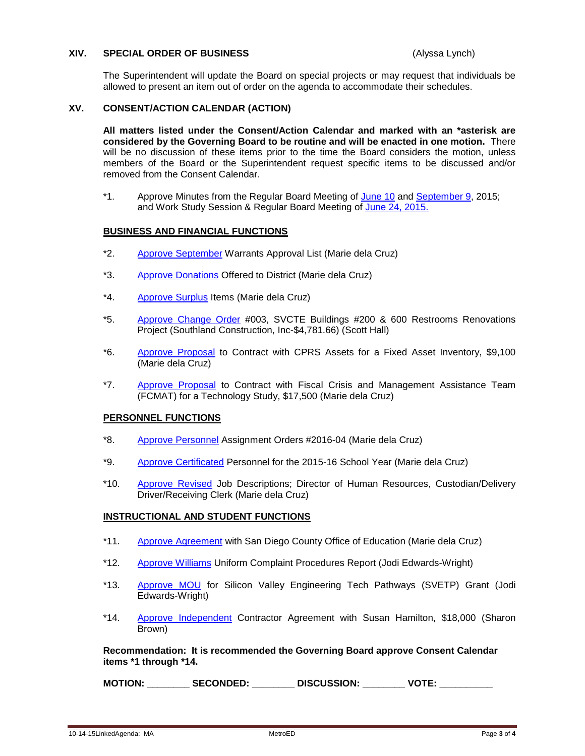#### **XIV. SPECIAL ORDER OF BUSINESS** (Alyssa Lynch)

The Superintendent will update the Board on special projects or may request that individuals be allowed to present an item out of order on the agenda to accommodate their schedules.

#### **XV. CONSENT/ACTION CALENDAR (ACTION)**

**All matters listed under the Consent/Action Calendar and marked with an \*asterisk are considered by the Governing Board to be routine and will be enacted in one motion.** There will be no discussion of these items prior to the time the Board considers the motion, unless members of the Board or the Superintendent request specific items to be discussed and/or removed from the Consent Calendar.

\*1. Approve Minutes from the Regular Board Meeting of [June 10](http://fbsd.metroed.net/malaimo/Board_Agenda/10-14-15BoardAgenda/06-10-15BoardMinutes.pdf) and [September 9,](http://fbsd.metroed.net/malaimo/Board_Agenda/10-14-15BoardAgenda/09-09-155BoardMinutes.pdf) 2015; and Work Study Session & Regular Board Meeting of [June 24, 2015.](http://fbsd.metroed.net/malaimo/Board_Agenda/10-14-15BoardAgenda/06-24-15BoardMinutes.pdf)

#### **BUSINESS AND FINANCIAL FUNCTIONS**

- \*2. [Approve September](http://fbsd.metroed.net/malaimo/Board_Agenda/10-14-15BoardAgenda/Item2.pdf) Warrants Approval List (Marie dela Cruz)
- \*3. [Approve Donations](http://fbsd.metroed.net/malaimo/Board_Agenda/10-14-15BoardAgenda/Item3.pdf) Offered to District (Marie dela Cruz)
- \*4. [Approve Surplus](http://fbsd.metroed.net/malaimo/Board_Agenda/10-14-15BoardAgenda/Item4.pdf) Items (Marie dela Cruz)
- \*5. [Approve Change Order](http://fbsd.metroed.net/malaimo/Board_Agenda/10-14-15BoardAgenda/Item5.pdf) #003, SVCTE Buildings #200 & 600 Restrooms Renovations Project (Southland Construction, Inc-\$4,781.66) (Scott Hall)
- \*6. [Approve Proposal](http://fbsd.metroed.net/malaimo/Board_Agenda/10-14-15BoardAgenda/Item6.pdf) to Contract with CPRS Assets for a Fixed Asset Inventory, \$9,100 (Marie dela Cruz)
- \*7. [Approve Proposal](http://fbsd.metroed.net/malaimo/Board_Agenda/10-14-15BoardAgenda/Item7.pdf) to Contract with Fiscal Crisis and Management Assistance Team (FCMAT) for a Technology Study, \$17,500 (Marie dela Cruz)

#### **PERSONNEL FUNCTIONS**

- \*8. [Approve Personnel](http://fbsd.metroed.net/malaimo/Board_Agenda/10-14-15BoardAgenda/Item8.pdf) Assignment Orders #2016-04 (Marie dela Cruz)
- \*9. [Approve Certificated](http://fbsd.metroed.net/malaimo/Board_Agenda/10-14-15BoardAgenda/Item9.pdf) Personnel for the 2015-16 School Year (Marie dela Cruz)
- \*10. [Approve Revised](http://fbsd.metroed.net/malaimo/Board_Agenda/10-14-15BoardAgenda/Item10.pdf) Job Descriptions; Director of Human Resources, Custodian/Delivery Driver/Receiving Clerk (Marie dela Cruz)

#### **INSTRUCTIONAL AND STUDENT FUNCTIONS**

- \*11. [Approve Agreement](http://fbsd.metroed.net/malaimo/Board_Agenda/10-14-15BoardAgenda/Item11.pdf) with San Diego County Office of Education (Marie dela Cruz)
- \*12. [Approve Williams](http://fbsd.metroed.net/malaimo/Board_Agenda/10-14-15BoardAgenda/Item12.pdf) Uniform Complaint Procedures Report (Jodi Edwards-Wright)
- \*13. [Approve MOU](http://fbsd.metroed.net/malaimo/Board_Agenda/10-14-15BoardAgenda/Item13.pdf) for Silicon Valley Engineering Tech Pathways (SVETP) Grant (Jodi Edwards-Wright)
- \*14. [Approve Independent](http://fbsd.metroed.net/malaimo/Board_Agenda/10-14-15BoardAgenda/Item14.pdf) Contractor Agreement with Susan Hamilton, \$18,000 (Sharon Brown)

**Recommendation: It is recommended the Governing Board approve Consent Calendar items \*1 through \*14.**

**MOTION: \_\_\_\_\_\_\_\_ SECONDED: \_\_\_\_\_\_\_\_ DISCUSSION: \_\_\_\_\_\_\_\_ VOTE: \_\_\_\_\_\_\_\_\_\_**